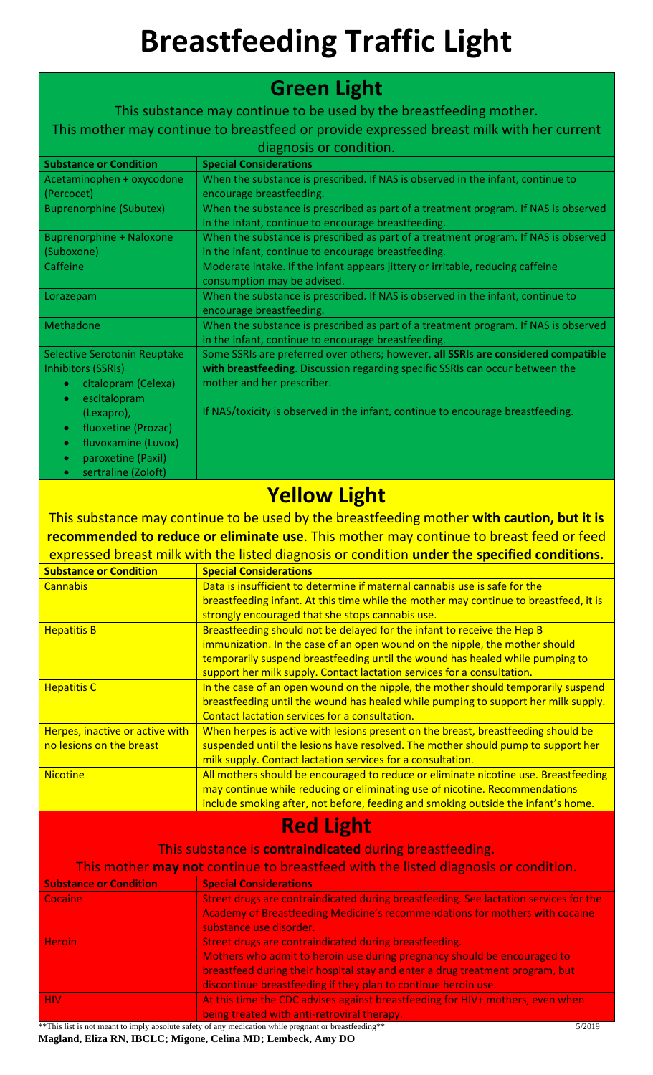## **Breastfeeding Traffic Light**

| <b>Green Light</b>                                            |                                                                                                                                                                         |
|---------------------------------------------------------------|-------------------------------------------------------------------------------------------------------------------------------------------------------------------------|
|                                                               | This substance may continue to be used by the breastfeeding mother.                                                                                                     |
|                                                               | This mother may continue to breastfeed or provide expressed breast milk with her current                                                                                |
| diagnosis or condition.                                       |                                                                                                                                                                         |
| <b>Substance or Condition</b>                                 | <b>Special Considerations</b>                                                                                                                                           |
| Acetaminophen + oxycodone<br>(Percocet)                       | When the substance is prescribed. If NAS is observed in the infant, continue to<br>encourage breastfeeding.                                                             |
| <b>Buprenorphine (Subutex)</b>                                | When the substance is prescribed as part of a treatment program. If NAS is observed<br>in the infant, continue to encourage breastfeeding.                              |
| <b>Buprenorphine + Naloxone</b><br>(Suboxone)                 | When the substance is prescribed as part of a treatment program. If NAS is observed<br>in the infant, continue to encourage breastfeeding.                              |
| Caffeine                                                      | Moderate intake. If the infant appears jittery or irritable, reducing caffeine<br>consumption may be advised.                                                           |
| Lorazepam                                                     | When the substance is prescribed. If NAS is observed in the infant, continue to<br>encourage breastfeeding.                                                             |
| Methadone                                                     | When the substance is prescribed as part of a treatment program. If NAS is observed<br>in the infant, continue to encourage breastfeeding.                              |
| Selective Serotonin Reuptake                                  | Some SSRIs are preferred over others; however, all SSRIs are considered compatible                                                                                      |
| <b>Inhibitors (SSRIs)</b><br>citalopram (Celexa)<br>$\bullet$ | with breastfeeding. Discussion regarding specific SSRIs can occur between the<br>mother and her prescriber.                                                             |
| escitalopram<br>۰                                             |                                                                                                                                                                         |
| (Lexapro),                                                    | If NAS/toxicity is observed in the infant, continue to encourage breastfeeding.                                                                                         |
| fluoxetine (Prozac)<br>$\bullet$                              |                                                                                                                                                                         |
| fluvoxamine (Luvox)<br>$\bullet$                              |                                                                                                                                                                         |
| paroxetine (Paxil)<br>$\bullet$                               |                                                                                                                                                                         |
| sertraline (Zoloft)<br>۰                                      |                                                                                                                                                                         |
|                                                               | <b>Yellow Light</b>                                                                                                                                                     |
|                                                               | This substance may continue to be used by the breastfeeding mother with caution, but it is                                                                              |
|                                                               | recommended to reduce or eliminate use. This mother may continue to breast feed or feed                                                                                 |
|                                                               |                                                                                                                                                                         |
|                                                               |                                                                                                                                                                         |
|                                                               | expressed breast milk with the listed diagnosis or condition under the specified conditions.                                                                            |
| <b>Substance or Condition</b><br><b>Cannabis</b>              | <b>Special Considerations</b><br>Data is insufficient to determine if maternal cannabis use is safe for the                                                             |
|                                                               | breastfeeding infant. At this time while the mother may continue to breastfeed, it is                                                                                   |
| <b>Hepatitis B</b>                                            | strongly encouraged that she stops cannabis use.<br>Breastfeeding should not be delayed for the infant to receive the Hep B                                             |
|                                                               | immunization. In the case of an open wound on the nipple, the mother should                                                                                             |
|                                                               | temporarily suspend breastfeeding until the wound has healed while pumping to                                                                                           |
|                                                               | support her milk supply. Contact lactation services for a consultation.                                                                                                 |
| <b>Hepatitis C</b>                                            | In the case of an open wound on the nipple, the mother should temporarily suspend<br>breastfeeding until the wound has healed while pumping to support her milk supply. |
|                                                               | Contact lactation services for a consultation.                                                                                                                          |
| Herpes, inactive or active with<br>no lesions on the breast   | When herpes is active with lesions present on the breast, breastfeeding should be<br>suspended until the lesions have resolved. The mother should pump to support her   |
|                                                               | milk supply. Contact lactation services for a consultation.                                                                                                             |
| <b>Nicotine</b>                                               | All mothers should be encouraged to reduce or eliminate nicotine use. Breastfeeding                                                                                     |
|                                                               | may continue while reducing or eliminating use of nicotine. Recommendations                                                                                             |
|                                                               | include smoking after, not before, feeding and smoking outside the infant's home.                                                                                       |
|                                                               | <b>Red Light</b>                                                                                                                                                        |
|                                                               | This substance is contraindicated during breastfeeding.                                                                                                                 |
|                                                               | This mother may not continue to breastfeed with the listed diagnosis or condition.                                                                                      |
| <b>Substance or Condition</b>                                 | <b>Special Considerations</b>                                                                                                                                           |
| Cocaine                                                       | Street drugs are contraindicated during breastfeeding. See lactation services for the                                                                                   |
|                                                               | Academy of Breastfeeding Medicine's recommendations for mothers with cocaine<br>substance use disorder.                                                                 |
| <b>Heroin</b>                                                 | Street drugs are contraindicated during breastfeeding.                                                                                                                  |
|                                                               | Mothers who admit to heroin use during pregnancy should be encouraged to                                                                                                |
|                                                               | breastfeed during their hospital stay and enter a drug treatment program, but                                                                                           |
| <b>HIV</b>                                                    | discontinue breastfeeding if they plan to continue heroin use.<br>At this time the CDC advises against breastfeeding for HIV+ mothers, even when                        |